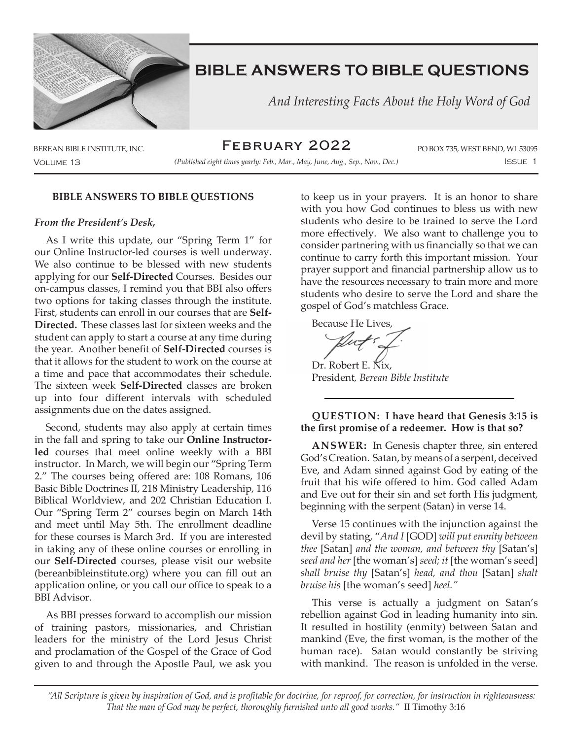

 *And Interesting Facts About the Holy Word of God*

BEREAN BIBLE INSTITUTE, INC.  $\mathsf{FEBRUARY \ } \mathsf{2OZZ}$  po box 735, WEST BEND, WI 53095 February 2022

Volume 13 Issue 1 *(Published eight times yearly: Feb., Mar., May, June, Aug., Sep., Nov., Dec.)*

#### **BIBLE ANSWERS TO BIBLE QUESTIONS**

#### *From the President's Desk,*

As I write this update, our "Spring Term 1" for our Online Instructor-led courses is well underway. We also continue to be blessed with new students applying for our **Self-Directed** Courses. Besides our on-campus classes, I remind you that BBI also offers two options for taking classes through the institute. First, students can enroll in our courses that are **Self-Directed.** These classes last for sixteen weeks and the student can apply to start a course at any time during the year. Another benefit of **Self-Directed** courses is that it allows for the student to work on the course at a time and pace that accommodates their schedule. The sixteen week **Self-Directed** classes are broken up into four different intervals with scheduled assignments due on the dates assigned.

Second, students may also apply at certain times in the fall and spring to take our **Online Instructorled** courses that meet online weekly with a BBI instructor. In March, we will begin our "Spring Term 2." The courses being offered are: 108 Romans, 106 Basic Bible Doctrines II, 218 Ministry Leadership, 116 Biblical Worldview, and 202 Christian Education I. Our "Spring Term 2" courses begin on March 14th and meet until May 5th. The enrollment deadline for these courses is March 3rd. If you are interested in taking any of these online courses or enrolling in our **Self-Directed** courses, please visit our website (bereanbibleinstitute.org) where you can fill out an application online, or you call our office to speak to a BBI Advisor.

As BBI presses forward to accomplish our mission of training pastors, missionaries, and Christian leaders for the ministry of the Lord Jesus Christ and proclamation of the Gospel of the Grace of God given to and through the Apostle Paul, we ask you

to keep us in your prayers. It is an honor to share with you how God continues to bless us with new students who desire to be trained to serve the Lord more effectively. We also want to challenge you to consider partnering with us financially so that we can continue to carry forth this important mission. Your prayer support and financial partnership allow us to have the resources necessary to train more and more students who desire to serve the Lord and share the gospel of God's matchless Grace.

Because He Lives, Dr. Robert E. Nix, President*, Berean Bible Institute*

### **QUESTION: I have heard that Genesis 3:15 is the first promise of a redeemer. How is that so?**

**ANSWER:** In Genesis chapter three, sin entered God's Creation. Satan, by means of a serpent, deceived Eve, and Adam sinned against God by eating of the fruit that his wife offered to him. God called Adam and Eve out for their sin and set forth His judgment, beginning with the serpent (Satan) in verse 14.

Verse 15 continues with the injunction against the devil by stating, "*And I* [GOD] *will put enmity between thee* [Satan] *and the woman, and between thy* [Satan's] *seed and her* [the woman's] *seed; it* [the woman's seed] *shall bruise thy* [Satan's] *head, and thou* [Satan] *shalt bruise his* [the woman's seed] *heel."*

This verse is actually a judgment on Satan's rebellion against God in leading humanity into sin. It resulted in hostility (enmity) between Satan and mankind (Eve, the first woman, is the mother of the human race). Satan would constantly be striving with mankind. The reason is unfolded in the verse.

*"All Scripture is given by inspiration of God, and is profitable for doctrine, for reproof, for correction, for instruction in righteousness: That the man of God may be perfect, thoroughly furnished unto all good works."* II Timothy 3:16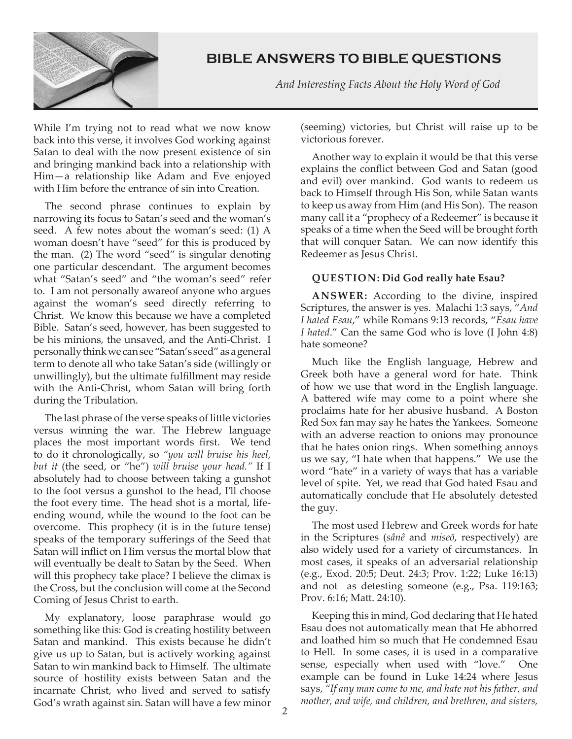

 *And Interesting Facts About the Holy Word of God*

While I'm trying not to read what we now know back into this verse, it involves God working against Satan to deal with the now present existence of sin and bringing mankind back into a relationship with Him—a relationship like Adam and Eve enjoyed with Him before the entrance of sin into Creation.

The second phrase continues to explain by narrowing its focus to Satan's seed and the woman's seed. A few notes about the woman's seed: (1) A woman doesn't have "seed" for this is produced by the man. (2) The word "seed" is singular denoting one particular descendant. The argument becomes what "Satan's seed" and "the woman's seed" refer to. I am not personally awareof anyone who argues against the woman's seed directly referring to Christ. We know this because we have a completed Bible. Satan's seed, however, has been suggested to be his minions, the unsaved, and the Anti-Christ. I personally think we can see "Satan's seed" as a general term to denote all who take Satan's side (willingly or unwillingly), but the ultimate fulfillment may reside with the Anti-Christ, whom Satan will bring forth during the Tribulation.

The last phrase of the verse speaks of little victories versus winning the war. The Hebrew language places the most important words first. We tend to do it chronologically, so *"you will bruise his heel, but it* (the seed, or "he") *will bruise your head."* If I absolutely had to choose between taking a gunshot to the foot versus a gunshot to the head, I'll choose the foot every time. The head shot is a mortal, lifeending wound, while the wound to the foot can be overcome. This prophecy (it is in the future tense) speaks of the temporary sufferings of the Seed that Satan will inflict on Him versus the mortal blow that will eventually be dealt to Satan by the Seed. When will this prophecy take place? I believe the climax is the Cross, but the conclusion will come at the Second Coming of Jesus Christ to earth.

My explanatory, loose paraphrase would go something like this: God is creating hostility between Satan and mankind. This exists because he didn't give us up to Satan, but is actively working against Satan to win mankind back to Himself. The ultimate source of hostility exists between Satan and the incarnate Christ, who lived and served to satisfy God's wrath against sin. Satan will have a few minor

(seeming) victories, but Christ will raise up to be victorious forever.

Another way to explain it would be that this verse explains the conflict between God and Satan (good and evil) over mankind. God wants to redeem us back to Himself through His Son, while Satan wants to keep us away from Him (and His Son). The reason many call it a "prophecy of a Redeemer" is because it speaks of a time when the Seed will be brought forth that will conquer Satan. We can now identify this Redeemer as Jesus Christ.

### **QUESTION: Did God really hate Esau?**

**ANSWER:** According to the divine, inspired Scriptures, the answer is yes. Malachi 1:3 says, "*And I hated Esau*," while Romans 9:13 records, "*Esau have I hated*." Can the same God who is love (I John 4:8) hate someone?

Much like the English language, Hebrew and Greek both have a general word for hate. Think of how we use that word in the English language. A battered wife may come to a point where she proclaims hate for her abusive husband. A Boston Red Sox fan may say he hates the Yankees. Someone with an adverse reaction to onions may pronounce that he hates onion rings. When something annoys us we say, "I hate when that happens." We use the word "hate" in a variety of ways that has a variable level of spite. Yet, we read that God hated Esau and automatically conclude that He absolutely detested the guy.

The most used Hebrew and Greek words for hate in the Scriptures (*sânê* and *miseō*, respectively) are also widely used for a variety of circumstances. In most cases, it speaks of an adversarial relationship (e.g., Exod. 20:5; Deut. 24:3; Prov. 1:22; Luke 16:13) and not as detesting someone (e.g., Psa. 119:163; Prov. 6:16; Matt. 24:10).

Keeping this in mind, God declaring that He hated Esau does not automatically mean that He abhorred and loathed him so much that He condemned Esau to Hell. In some cases, it is used in a comparative sense, especially when used with "love." One example can be found in Luke 14:24 where Jesus says, *"If any man come to me, and hate not his father, and mother, and wife, and children, and brethren, and sisters,*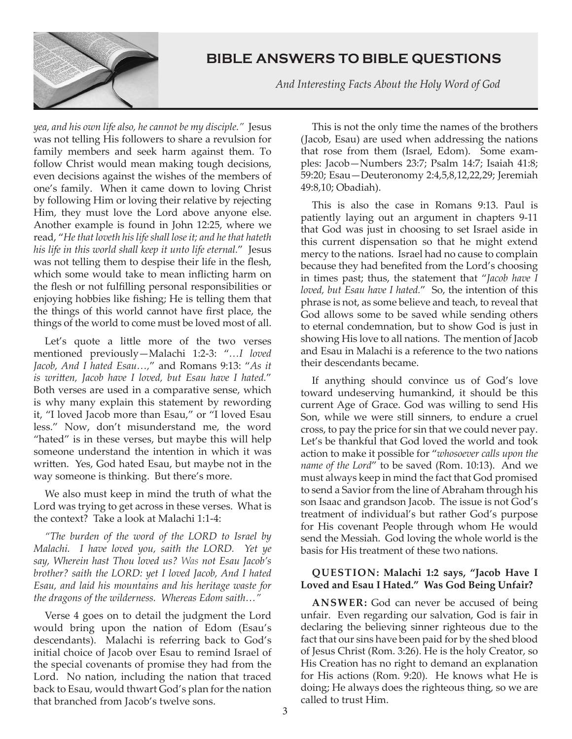

 *And Interesting Facts About the Holy Word of God*

*yea, and his own life also, he cannot be my disciple."* Jesus was not telling His followers to share a revulsion for family members and seek harm against them. To follow Christ would mean making tough decisions, even decisions against the wishes of the members of one's family. When it came down to loving Christ by following Him or loving their relative by rejecting Him, they must love the Lord above anyone else. Another example is found in John 12:25, where we read, "*He that loveth his life shall lose it; and he that hateth his life in this world shall keep it unto life eternal.*" Jesus was not telling them to despise their life in the flesh, which some would take to mean inflicting harm on the flesh or not fulfilling personal responsibilities or enjoying hobbies like fishing; He is telling them that the things of this world cannot have first place, the things of the world to come must be loved most of all.

Let's quote a little more of the two verses mentioned previously—Malachi 1:2-3: "*…I loved Jacob, And I hated Esau…,*" and Romans 9:13: "*As it is written, Jacob have I loved, but Esau have I hated.*" Both verses are used in a comparative sense, which is why many explain this statement by rewording it, "I loved Jacob more than Esau," or "I loved Esau less." Now, don't misunderstand me, the word "hated" is in these verses, but maybe this will help someone understand the intention in which it was written. Yes, God hated Esau, but maybe not in the way someone is thinking. But there's more.

We also must keep in mind the truth of what the Lord was trying to get across in these verses. What is the context? Take a look at Malachi 1:1-4:

*"The burden of the word of the LORD to Israel by Malachi. I have loved you, saith the LORD. Yet ye say, Wherein hast Thou loved us? Was not Esau Jacob's brother? saith the LORD: yet I loved Jacob, And I hated Esau, and laid his mountains and his heritage waste for the dragons of the wilderness. Whereas Edom saith…"*

Verse 4 goes on to detail the judgment the Lord would bring upon the nation of Edom (Esau's descendants). Malachi is referring back to God's initial choice of Jacob over Esau to remind Israel of the special covenants of promise they had from the Lord. No nation, including the nation that traced back to Esau, would thwart God's plan for the nation that branched from Jacob's twelve sons.

This is not the only time the names of the brothers (Jacob, Esau) are used when addressing the nations that rose from them (Israel, Edom). Some examples: Jacob—Numbers 23:7; Psalm 14:7; Isaiah 41:8; 59:20; Esau—Deuteronomy 2:4,5,8,12,22,29; Jeremiah 49:8,10; Obadiah).

This is also the case in Romans 9:13. Paul is patiently laying out an argument in chapters 9-11 that God was just in choosing to set Israel aside in this current dispensation so that he might extend mercy to the nations. Israel had no cause to complain because they had benefited from the Lord's choosing in times past; thus, the statement that "*Jacob have I loved, but Esau have I hated.*" So, the intention of this phrase is not, as some believe and teach, to reveal that God allows some to be saved while sending others to eternal condemnation, but to show God is just in showing His love to all nations. The mention of Jacob and Esau in Malachi is a reference to the two nations their descendants became.

If anything should convince us of God's love toward undeserving humankind, it should be this current Age of Grace. God was willing to send His Son, while we were still sinners, to endure a cruel cross, to pay the price for sin that we could never pay. Let's be thankful that God loved the world and took action to make it possible for "*whosoever calls upon the name of the Lord*" to be saved (Rom. 10:13). And we must always keep in mind the fact that God promised to send a Savior from the line of Abraham through his son Isaac and grandson Jacob. The issue is not God's treatment of individual's but rather God's purpose for His covenant People through whom He would send the Messiah. God loving the whole world is the basis for His treatment of these two nations.

### **QUESTION: Malachi 1:2 says, "Jacob Have I Loved and Esau I Hated." Was God Being Unfair?**

**ANSWER:** God can never be accused of being unfair. Even regarding our salvation, God is fair in declaring the believing sinner righteous due to the fact that our sins have been paid for by the shed blood of Jesus Christ (Rom. 3:26). He is the holy Creator, so His Creation has no right to demand an explanation for His actions (Rom. 9:20). He knows what He is doing; He always does the righteous thing, so we are called to trust Him.